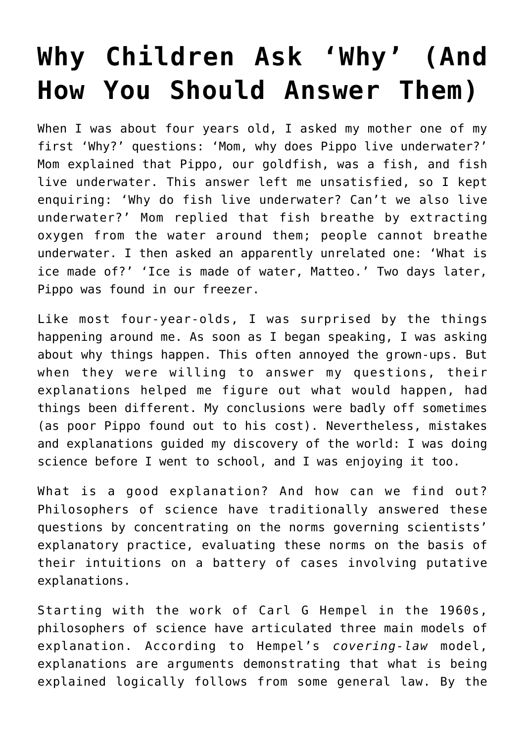## **[Why Children Ask 'Why' \(And](https://intellectualtakeout.org/2017/02/why-children-ask-why-and-how-you-should-answer-them/) [How You Should Answer Them\)](https://intellectualtakeout.org/2017/02/why-children-ask-why-and-how-you-should-answer-them/)**

When I was about four years old, I asked my mother one of my first 'Why?' questions: 'Mom, why does Pippo live underwater?' Mom explained that Pippo, our goldfish, was a fish, and fish live underwater. This answer left me unsatisfied, so I kept enquiring: 'Why do fish live underwater? Can't we also live underwater?' Mom replied that fish breathe by extracting oxygen from the water around them; people cannot breathe underwater. I then asked an apparently unrelated one: 'What is ice made of?' 'Ice is made of water, Matteo.' Two days later, Pippo was found in our freezer.

Like most four-year-olds, I was surprised by the things happening around me. As soon as I began speaking, I was asking about why things happen. This often annoyed the grown-ups. But when they were willing to answer my questions, their explanations helped me figure out what would happen, had things been different. My conclusions were badly off sometimes (as poor Pippo found out to his cost). Nevertheless, mistakes and explanations guided my discovery of the world: I was doing science before I went to school, and I was enjoying it too.

What is a good explanation? And how can we find out? Philosophers of science have traditionally answered these questions by concentrating on the norms governing scientists' explanatory practice, evaluating these norms on the basis of their intuitions on a battery of cases involving putative explanations.

Starting with the work of Carl G Hempel in the 1960s, philosophers of science have articulated three main models of explanation. According to Hempel's *covering-law* model, explanations are arguments demonstrating that what is being explained logically follows from some general law. By the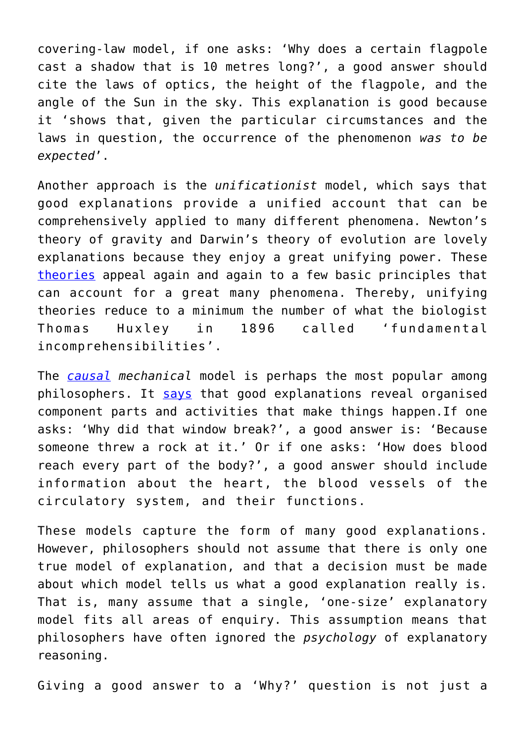covering-law model, if one asks: 'Why does a certain flagpole cast a shadow that is 10 metres long?', a good answer should cite the laws of optics, the height of the flagpole, and the angle of the Sun in the sky. This explanation is good because it 'shows that, given the particular circumstances and the laws in question, the occurrence of the phenomenon *was to be expected*'.

Another approach is the *unificationist* model, which says that good explanations provide a unified account that can be comprehensively applied to many different phenomena. Newton's theory of gravity and Darwin's theory of evolution are lovely explanations because they enjoy a great unifying power. These [theories](http://www.jstor.org/stable/186834?seq=1#page_scan_tab_contents) appeal again and again to a few basic principles that can account for a great many phenomena. Thereby, unifying theories reduce to a minimum the number of what the biologist Thomas Huxley in 1896 called 'fundamental incomprehensibilities'.

The *[causal](https://www.pdcnet.org/pdc/bvdb.nsf/purchase?openform&fp=jphil&id=jphil_1973_0070_0017_0556_0567) mechanical* model is perhaps the most popular among philosophers. It [says](http://bayes.cs.ucla.edu/BOOK-2K/) that good explanations reveal organised component parts and activities that make things happen.If one asks: 'Why did that window break?', a good answer is: 'Because someone threw a rock at it.' Or if one asks: 'How does blood reach every part of the body?', a good answer should include information about the heart, the blood vessels of the circulatory system, and their functions.

These models capture the form of many good explanations. However, philosophers should not assume that there is only one true model of explanation, and that a decision must be made about which model tells us what a good explanation really is. That is, many assume that a single, 'one-size' explanatory model fits all areas of enquiry. This assumption means that philosophers have often ignored the *psychology* of explanatory reasoning.

Giving a good answer to a 'Why?' question is not just a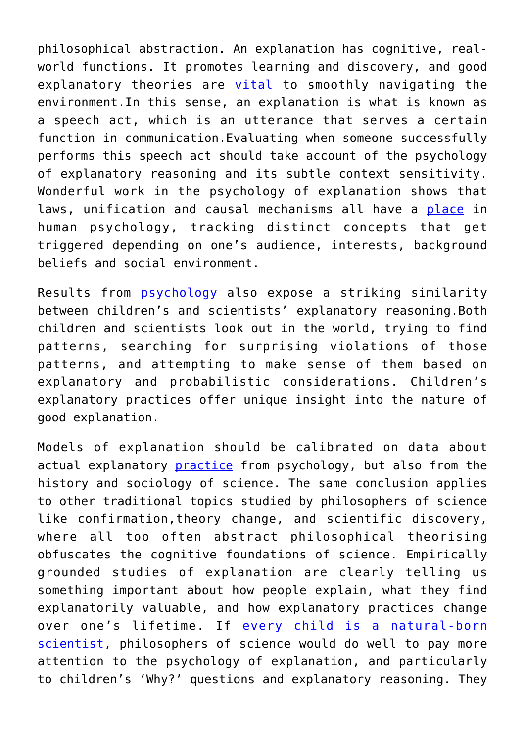philosophical abstraction. An explanation has cognitive, realworld functions. It promotes learning and discovery, and good explanatory theories are [vital](http://www.cell.com/trends/cognitive-sciences/abstract/S1364-6613(06)00211-7?_returnURL=http%3A%2F%2Flinkinghub.elsevier.com%2Fretrieve%2Fpii%2FS1364661306002117%3Fshowall%3Dtrue) to smoothly navigating the environment.In this sense, an explanation is what is known as a speech act, which is an utterance that serves a certain function in communication.Evaluating when someone successfully performs this speech act should take account of the psychology of explanatory reasoning and its subtle context sensitivity. Wonderful work in the psychology of explanation shows that laws, unification and causal mechanisms all have a [place](http://onlinelibrary.wiley.com/doi/10.1111/cogs.12340/abstract) in human psychology, tracking distinct concepts that get triggered depending on one's audience, interests, background beliefs and social environment.

Results from [psychology](https://www.jstor.org/stable/188064?seq=1#page_scan_tab_contents) also expose a striking similarity between children's and scientists' explanatory reasoning.Both children and scientists look out in the world, trying to find patterns, searching for surprising violations of those patterns, and attempting to make sense of them based on explanatory and probabilistic considerations. Children's explanatory practices offer unique insight into the nature of good explanation.

Models of explanation should be calibrated on data about actual explanatory **[practice](https://www.ncbi.nlm.nih.gov/pubmed/21564236)** from psychology, but also from the history and sociology of science. The same conclusion applies to other traditional topics studied by philosophers of science like confirmation,theory change, and scientific discovery, where all too often abstract philosophical theorising obfuscates the cognitive foundations of science. Empirically grounded studies of explanation are clearly telling us something important about how people explain, what they find explanatorily valuable, and how explanatory practices change over one's lifetime. If [every child is a natural-born](https://www.intellectualtakeout.org/../../../essays/how-the-scientific-method-came-from-watching-children-play) [scientist](https://www.intellectualtakeout.org/../../../essays/how-the-scientific-method-came-from-watching-children-play), philosophers of science would do well to pay more attention to the psychology of explanation, and particularly to children's 'Why?' questions and explanatory reasoning. They